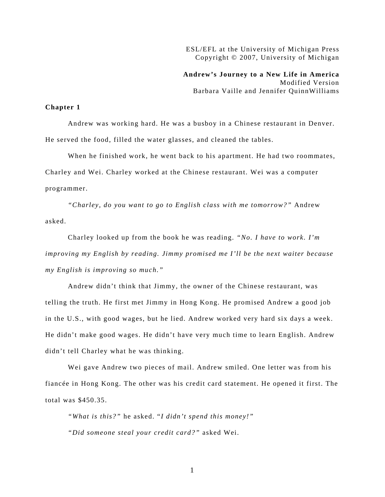ESL/EFL at the University of Michigan Press Copyright © 2007, University of Michigan

**Andrew's Journey to a New Life in America**  Modified Version Barbara Vaille and Jennifer QuinnWilliams

## **Chapter 1**

 Andrew was working hard. He was a busboy in a Chinese restaurant in Denver. He served the food, filled the water glasses, and cleaned the tables.

When he finished work, he went back to his apartment. He had two roommates, Charley and Wei. Charley worked at the Chinese restaurant. Wei was a computer programmer.

*"Charley, do you want to go to English class with me tomorrow?"* Andrew asked.

Charley looked up from the book he was reading. *"No. I have to work. I'm improving my English by reading. Jimmy promised me I'll be the next waiter because my English is improving so much."* 

Andrew didn't think that Jimmy, the owner of the Chinese restaurant, was telling the truth. He first met Jimmy in Hong Kong. He promised Andrew a good job in the U.S., with good wages, but he lied. Andrew worked very hard six days a week. He didn't make good wages. He didn't have very much time to learn English. Andrew didn't tell Charley what he was thinking.

Wei gave Andrew two pieces of mail. Andrew smiled. One letter was from his fiancée in Hong Kong. The other was his credit card statement. He opened it first. The total was \$450.35.

*"What is this?"* he asked. "*I didn't spend this money!" "Did someone steal your credit card?"* asked Wei.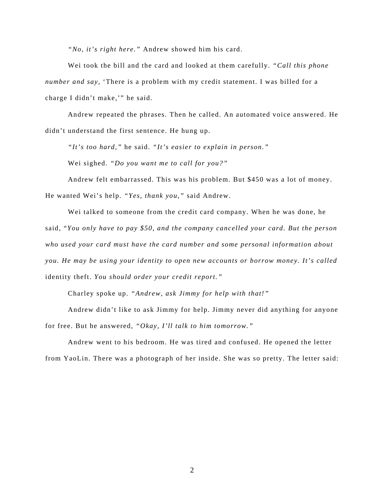*"No, it's right here."* Andrew showed him his card.

Wei took the bill and the card and looked at them carefully. *"Call this phone number and say,* 'There is a problem with my credit statement. I was billed for a charge I didn't make,'" he said.

Andrew repeated the phrases. Then he called. An automated voice answered. He didn't understand the first sentence. He hung up.

*"It's too hard,"* he said. *"It's easier to explain in person."*

Wei sighed. *"Do you want me to call for you?"*

Andrew felt embarrassed. This was his problem. But \$450 was a lot of money. He wanted Wei's help. *"Yes, thank you,"* said Andrew.

Wei talked to someone from the credit card company. When he was done, he said, "*You only have to pay \$50, and the company cancelled your card. But the person who used your card must have the card number and some personal information about you. He may be using your identity to open new accounts or borrow money. It's called*  identity theft. *You should order your credit report."* 

Charley spoke up. *"Andrew, ask Jimmy for help with that!"*

Andrew didn't like to ask Jimmy for help. Jimmy never did anything for anyone for free. But he answered, *"Okay, I'll talk to him tomorrow."* 

Andrew went to his bedroom. He was tired and confused. He opened the letter from YaoLin. There was a photograph of her inside. She was so pretty. The letter said: